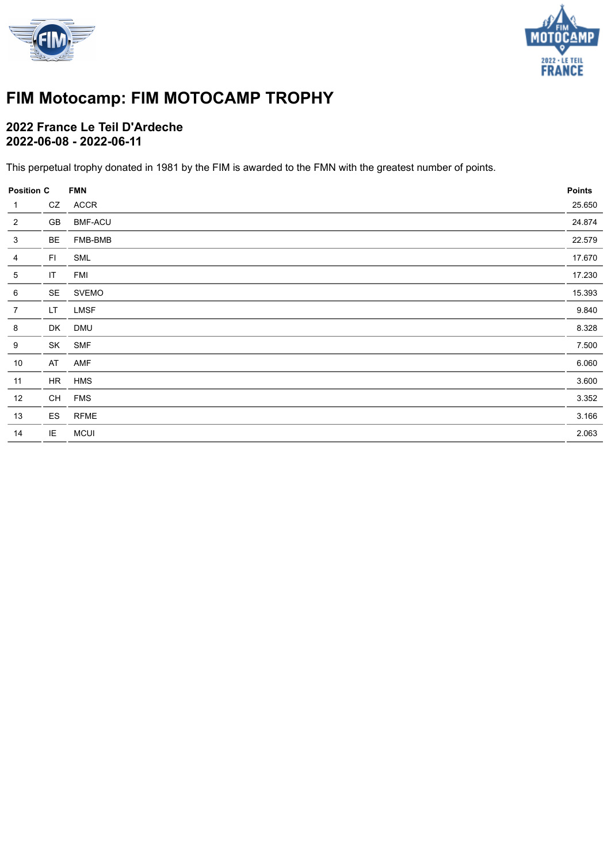



# **FIM Motocamp: FIM MOTOCAMP TROPHY**

### **2022 France Le Teil D'Ardeche 2022-06-08 - 2022-06-11**

This perpetual trophy donated in 1981 by the FIM is awarded to the FMN with the greatest number of points.

| <b>Position C</b> |     | <b>FMN</b>     | <b>Points</b> |
|-------------------|-----|----------------|---------------|
| $\mathbf{1}$      | CZ  | ACCR           | 25.650        |
| $\overline{2}$    | GB  | <b>BMF-ACU</b> | 24.874        |
| $\mathbf{3}$      | BE  | FMB-BMB        | 22.579        |
| $\overline{4}$    | FI. | SML            | 17.670        |
| 5                 | IT  | FMI            | 17.230        |
| $\,6$             | SE  | <b>SVEMO</b>   | 15.393        |
| $\overline{7}$    | LT. | <b>LMSF</b>    | 9.840         |
| 8                 | DK  | <b>DMU</b>     | 8.328         |
| 9                 | SK  | <b>SMF</b>     | 7.500         |
| 10                | AT  | AMF            | 6.060         |
| 11                | HR  | <b>HMS</b>     | 3.600         |
| 12                | CH  | <b>FMS</b>     | 3.352         |
| 13                | ES  | <b>RFME</b>    | 3.166         |
| 14                | IE  | <b>MCUI</b>    | 2.063         |
|                   |     |                |               |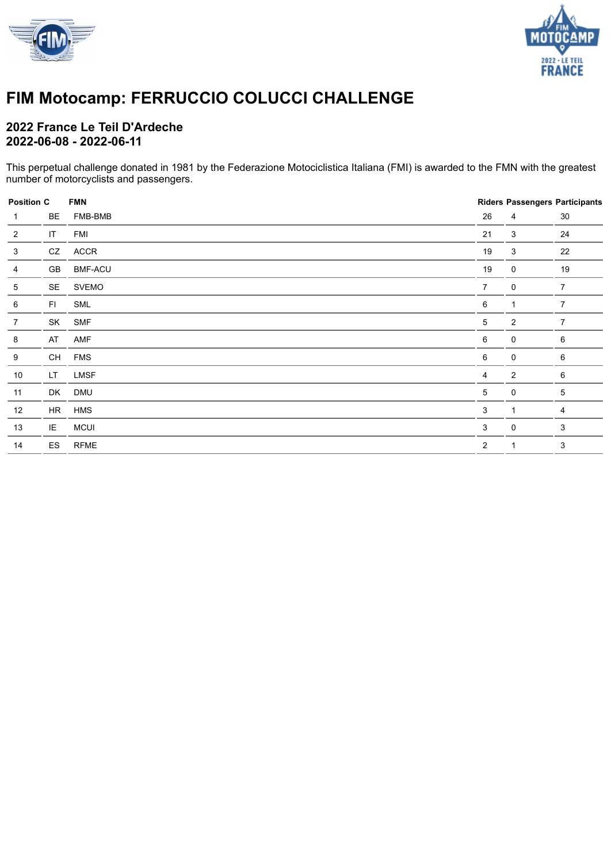



## **FIM Motocamp: FERRUCCIO COLUCCI CHALLENGE**

### **2022 France Le Teil D'Ardeche 2022-06-08 - 2022-06-11**

This perpetual challenge donated in 1981 by the Federazione Motociclistica Italiana (FMI) is awarded to the FMN with the greatest number of motorcyclists and passengers.

| <b>Position C</b> |           | <b>FMN</b>     |                |                | <b>Riders Passengers Participants</b> |
|-------------------|-----------|----------------|----------------|----------------|---------------------------------------|
| 1                 | BE        | FMB-BMB        | 26             | 4              | 30                                    |
| $\overline{2}$    | IT        | <b>FMI</b>     | 21             | 3              | 24                                    |
| 3                 | CZ        | ACCR           | 19             | 3              | 22                                    |
| 4                 | GB        | <b>BMF-ACU</b> | 19             | $\mathbf 0$    | 19                                    |
| 5                 | SE        | <b>SVEMO</b>   | $\overline{7}$ | $\mathbf 0$    | $\overline{7}$                        |
| 6                 | FI.       | SML            | 6              | $\mathbf 1$    | $\overline{7}$                        |
| $\overline{7}$    | SK        | <b>SMF</b>     | 5              | 2              | $\overline{7}$                        |
| 8                 | AT        | AMF            | 6              | $\mathbf 0$    | 6                                     |
| 9                 | CH        | <b>FMS</b>     | 6              | $\mathbf 0$    | 6                                     |
| 10                | <b>LT</b> | LMSF           | 4              | $\overline{2}$ | 6                                     |
| 11                | DK        | <b>DMU</b>     | 5              | $\mathbf 0$    | 5                                     |
| 12                | HR        | <b>HMS</b>     | 3              | $\mathbf 1$    | 4                                     |
| 13                | IE        | <b>MCUI</b>    | 3              | 0              | $\ensuremath{\mathsf{3}}$             |
| 14                | ES        | <b>RFME</b>    | 2              | $\mathbf 1$    | 3                                     |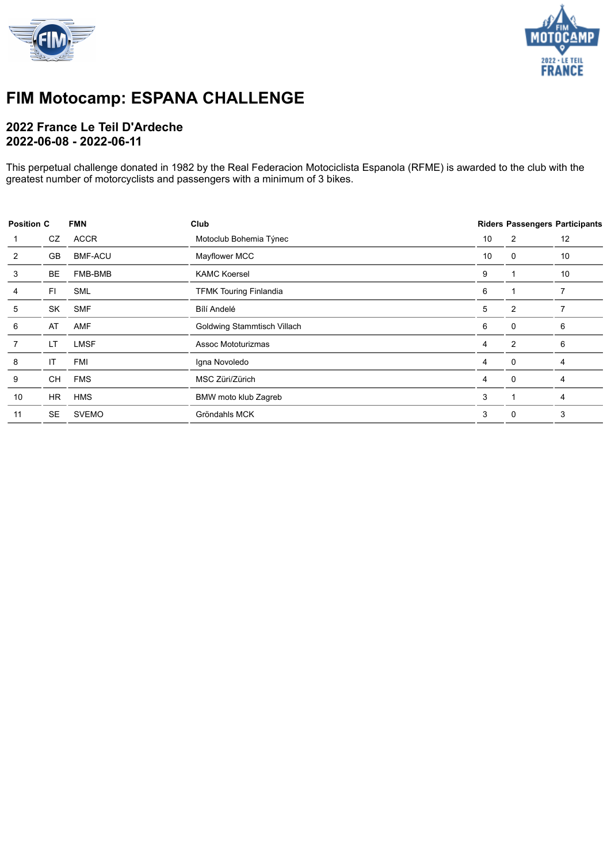



### **FIM Motocamp: ESPANA CHALLENGE**

### **2022 France Le Teil D'Ardeche 2022-06-08 - 2022-06-11**

This perpetual challenge donated in 1982 by the Real Federacion Motociclista Espanola (RFME) is awarded to the club with the greatest number of motorcyclists and passengers with a minimum of 3 bikes.

| <b>Position C</b> |           | <b>FMN</b>     | Club                          |    |          | <b>Riders Passengers Participants</b> |  |
|-------------------|-----------|----------------|-------------------------------|----|----------|---------------------------------------|--|
|                   | CZ        | <b>ACCR</b>    | 10<br>Motoclub Bohemia Týnec  |    | 2        | 12                                    |  |
| 2                 | GB        | <b>BMF-ACU</b> | Mayflower MCC                 | 10 | 0        | 10                                    |  |
| 3                 | BE        | FMB-BMB        | <b>KAMC Koersel</b>           |    |          | 10                                    |  |
|                   | FI.       | <b>SML</b>     | <b>TFMK Touring Finlandia</b> |    |          |                                       |  |
| 5                 | SK        | <b>SMF</b>     | Bílí Andelé                   |    | 2        |                                       |  |
| 6                 | AT        | <b>AMF</b>     | Goldwing Stammtisch Villach   | 6  | 0        | 6                                     |  |
|                   | LT        | <b>LMSF</b>    | Assoc Mototurizmas            | 4  | 2        | 6                                     |  |
| 8                 | IT        | <b>FMI</b>     | Igna Novoledo                 | 4  | $\Omega$ | 4                                     |  |
| 9                 | CH        | <b>FMS</b>     | MSC Züri/Zürich               | 4  | $\Omega$ | 4                                     |  |
| 10                | HR.       | <b>HMS</b>     | BMW moto klub Zagreb          | 3  |          | 4                                     |  |
| 11                | <b>SE</b> | <b>SVEMO</b>   | Gröndahls MCK                 | 3  | 0        | 3                                     |  |